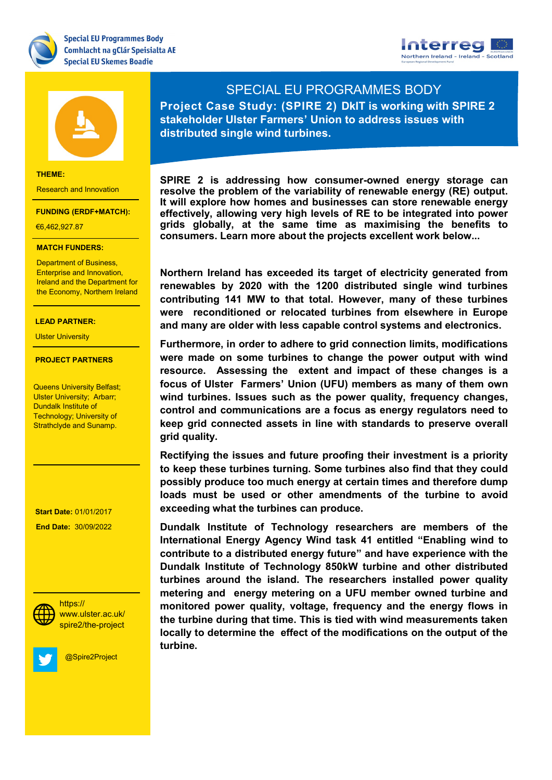





### **THEME:**

Research and Innovation

### **FUNDING (ERDF+MATCH):**

€6,462,927.87

### **MATCH FUNDERS:**

**Department of Business,** Ireland and the Department for Health & Life Sciences Enterprise and Innovation, the Economy, Northern Ireland

## Renewable Energy **LEAD PARTNER:**

Ulster University

# **PROJECT PARTNERS**

<del>Dundaik institute or</del><br>Technology; University of Strathclyde and Sunamp. Queens University Belfast; **Ulster University; Arbarr;** Dundalk Institute of

- The South West

**PROJECT: 30/09/2022 Start Date:** 01/01/2017



**Social Media:** spire2/the-project https:// www.ulster.ac.uk/

@Spire2Project

# SPECIAL EU PROGRAMMES BODY

**Project Case Study: (SPIRE 2) DkIT is working with SPIRE 2 stakeholder Ulster Farmers' Union to address issues with distributed single wind turbines.**

**SPIRE 2 is addressing how consumer-owned energy storage can resolve the problem of the variability of renewable energy (RE) output. It will explore how homes and businesses can store renewable energy effectively, allowing very high levels of RE to be integrated into power grids globally, at the same time as maximising the benefits to consumers. Learn more about the projects excellent work below...**

**Northern Ireland has exceeded its target of electricity generated from renewables by 2020 with the 1200 distributed single wind turbines contributing 141 MW to that total. However, many of these turbines were reconditioned or relocated turbines from elsewhere in Europe and many are older with less capable control systems and electronics.** 

**Furthermore, in order to adhere to grid connection limits, modifications were made on some turbines to change the power output with wind resource. Assessing the extent and impact of these changes is a focus of Ulster Farmers' Union (UFU) members as many of them own wind turbines. Issues such as the power quality, frequency changes, control and communications are a focus as energy regulators need to keep grid connected assets in line with standards to preserve overall grid quality.** 

**Rectifying the issues and future proofing their investment is a priority to keep these turbines turning. Some turbines also find that they could possibly produce too much energy at certain times and therefore dump loads must be used or other amendments of the turbine to avoid exceeding what the turbines can produce.**

**Dundalk Institute of Technology researchers are members of the International Energy Agency Wind task 41 entitled "Enabling wind to contribute to a distributed energy future" and have experience with the Dundalk Institute of Technology 850kW turbine and other distributed turbines around the island. The researchers installed power quality metering and energy metering on a UFU member owned turbine and monitored power quality, voltage, frequency and the energy flows in the turbine during that time. This is tied with wind measurements taken locally to determine the effect of the modifications on the output of the turbine.**